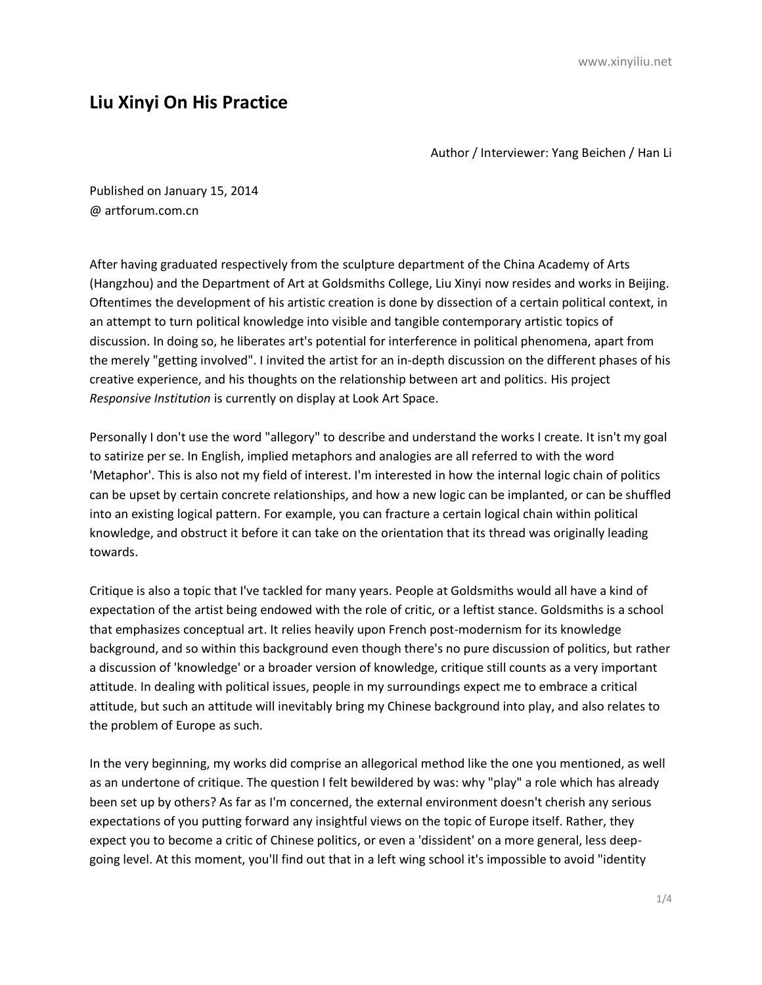www.xinyiliu.net

## **Liu Xinyi On His Practice**

## Author / Interviewer: Yang Beichen / Han Li

Published on January 15, 2014 @ artforum.com.cn

After having graduated respectively from the sculpture department of the China Academy of Arts (Hangzhou) and the Department of Art at Goldsmiths College, Liu Xinyi now resides and works in Beijing. Oftentimes the development of his artistic creation is done by dissection of a certain political context, in an attempt to turn political knowledge into visible and tangible contemporary artistic topics of discussion. In doing so, he liberates art's potential for interference in political phenomena, apart from the merely "getting involved". I invited the artist for an in-depth discussion on the different phases of his creative experience, and his thoughts on the relationship between art and politics. His project *Responsive Institution* is currently on display at Look Art Space.

Personally I don't use the word "allegory" to describe and understand the works I create. It isn't my goal to satirize per se. In English, implied metaphors and analogies are all referred to with the word 'Metaphor'. This is also not my field of interest. I'm interested in how the internal logic chain of politics can be upset by certain concrete relationships, and how a new logic can be implanted, or can be shuffled into an existing logical pattern. For example, you can fracture a certain logical chain within political knowledge, and obstruct it before it can take on the orientation that its thread was originally leading towards.

Critique is also a topic that I've tackled for many years. People at Goldsmiths would all have a kind of expectation of the artist being endowed with the role of critic, or a leftist stance. Goldsmiths is a school that emphasizes conceptual art. It relies heavily upon French post-modernism for its knowledge background, and so within this background even though there's no pure discussion of politics, but rather a discussion of 'knowledge' or a broader version of knowledge, critique still counts as a very important attitude. In dealing with political issues, people in my surroundings expect me to embrace a critical attitude, but such an attitude will inevitably bring my Chinese background into play, and also relates to the problem of Europe as such.

In the very beginning, my works did comprise an allegorical method like the one you mentioned, as well as an undertone of critique. The question I felt bewildered by was: why "play" a role which has already been set up by others? As far as I'm concerned, the external environment doesn't cherish any serious expectations of you putting forward any insightful views on the topic of Europe itself. Rather, they expect you to become a critic of Chinese politics, or even a 'dissident' on a more general, less deepgoing level. At this moment, you'll find out that in a left wing school it's impossible to avoid "identity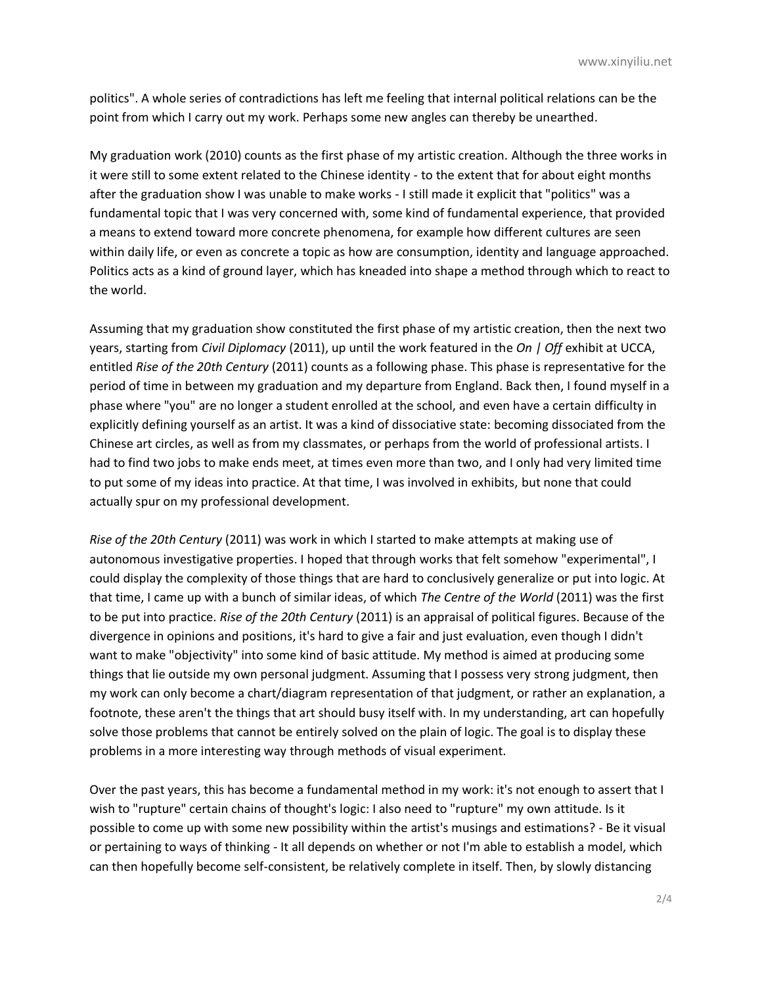politics". A whole series of contradictions has left me feeling that internal political relations can be the point from which I carry out my work. Perhaps some new angles can thereby be unearthed.

My graduation work (2010) counts as the first phase of my artistic creation. Although the three works in it were still to some extent related to the Chinese identity - to the extent that for about eight months after the graduation show I was unable to make works - I still made it explicit that "politics" was a fundamental topic that I was very concerned with, some kind of fundamental experience, that provided a means to extend toward more concrete phenomena, for example how different cultures are seen within daily life, or even as concrete a topic as how are consumption, identity and language approached. Politics acts as a kind of ground layer, which has kneaded into shape a method through which to react to the world.

Assuming that my graduation show constituted the first phase of my artistic creation, then the next two years, starting from *Civil Diplomacy* (2011), up until the work featured in the *On | Off* exhibit at UCCA, entitled *Rise of the 20th Century* (2011) counts as a following phase. This phase is representative for the period of time in between my graduation and my departure from England. Back then, I found myself in a phase where "you" are no longer a student enrolled at the school, and even have a certain difficulty in explicitly defining yourself as an artist. It was a kind of dissociative state: becoming dissociated from the Chinese art circles, as well as from my classmates, or perhaps from the world of professional artists. I had to find two jobs to make ends meet, at times even more than two, and I only had very limited time to put some of my ideas into practice. At that time, I was involved in exhibits, but none that could actually spur on my professional development.

*Rise of the 20th Century* (2011) was work in which I started to make attempts at making use of autonomous investigative properties. I hoped that through works that felt somehow "experimental", I could display the complexity of those things that are hard to conclusively generalize or put into logic. At that time, I came up with a bunch of similar ideas, of which *The Centre of the World* (2011) was the first to be put into practice. *Rise of the 20th Century* (2011) is an appraisal of political figures. Because of the divergence in opinions and positions, it's hard to give a fair and just evaluation, even though I didn't want to make "objectivity" into some kind of basic attitude. My method is aimed at producing some things that lie outside my own personal judgment. Assuming that I possess very strong judgment, then my work can only become a chart/diagram representation of that judgment, or rather an explanation, a footnote, these aren't the things that art should busy itself with. In my understanding, art can hopefully solve those problems that cannot be entirely solved on the plain of logic. The goal is to display these problems in a more interesting way through methods of visual experiment.

Over the past years, this has become a fundamental method in my work: it's not enough to assert that I wish to "rupture" certain chains of thought's logic: I also need to "rupture" my own attitude. Is it possible to come up with some new possibility within the artist's musings and estimations? - Be it visual or pertaining to ways of thinking - It all depends on whether or not I'm able to establish a model, which can then hopefully become self-consistent, be relatively complete in itself. Then, by slowly distancing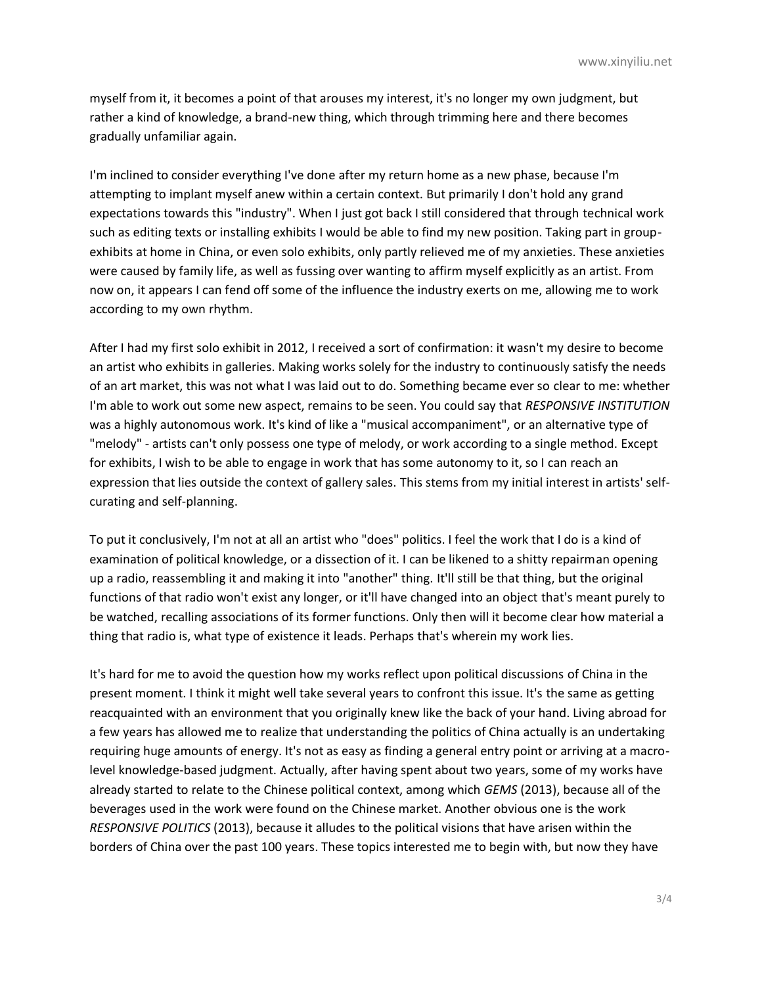myself from it, it becomes a point of that arouses my interest, it's no longer my own judgment, but rather a kind of knowledge, a brand-new thing, which through trimming here and there becomes gradually unfamiliar again.

I'm inclined to consider everything I've done after my return home as a new phase, because I'm attempting to implant myself anew within a certain context. But primarily I don't hold any grand expectations towards this "industry". When I just got back I still considered that through technical work such as editing texts or installing exhibits I would be able to find my new position. Taking part in groupexhibits at home in China, or even solo exhibits, only partly relieved me of my anxieties. These anxieties were caused by family life, as well as fussing over wanting to affirm myself explicitly as an artist. From now on, it appears I can fend off some of the influence the industry exerts on me, allowing me to work according to my own rhythm.

After I had my first solo exhibit in 2012, I received a sort of confirmation: it wasn't my desire to become an artist who exhibits in galleries. Making works solely for the industry to continuously satisfy the needs of an art market, this was not what I was laid out to do. Something became ever so clear to me: whether I'm able to work out some new aspect, remains to be seen. You could say that *RESPONSIVE INSTITUTION* was a highly autonomous work. It's kind of like a "musical accompaniment", or an alternative type of "melody" - artists can't only possess one type of melody, or work according to a single method. Except for exhibits, I wish to be able to engage in work that has some autonomy to it, so I can reach an expression that lies outside the context of gallery sales. This stems from my initial interest in artists' selfcurating and self-planning.

To put it conclusively, I'm not at all an artist who "does" politics. I feel the work that I do is a kind of examination of political knowledge, or a dissection of it. I can be likened to a shitty repairman opening up a radio, reassembling it and making it into "another" thing. It'll still be that thing, but the original functions of that radio won't exist any longer, or it'll have changed into an object that's meant purely to be watched, recalling associations of its former functions. Only then will it become clear how material a thing that radio is, what type of existence it leads. Perhaps that's wherein my work lies.

It's hard for me to avoid the question how my works reflect upon political discussions of China in the present moment. I think it might well take several years to confront this issue. It's the same as getting reacquainted with an environment that you originally knew like the back of your hand. Living abroad for a few years has allowed me to realize that understanding the politics of China actually is an undertaking requiring huge amounts of energy. It's not as easy as finding a general entry point or arriving at a macrolevel knowledge-based judgment. Actually, after having spent about two years, some of my works have already started to relate to the Chinese political context, among which *GEMS* (2013), because all of the beverages used in the work were found on the Chinese market. Another obvious one is the work *RESPONSIVE POLITICS* (2013), because it alludes to the political visions that have arisen within the borders of China over the past 100 years. These topics interested me to begin with, but now they have